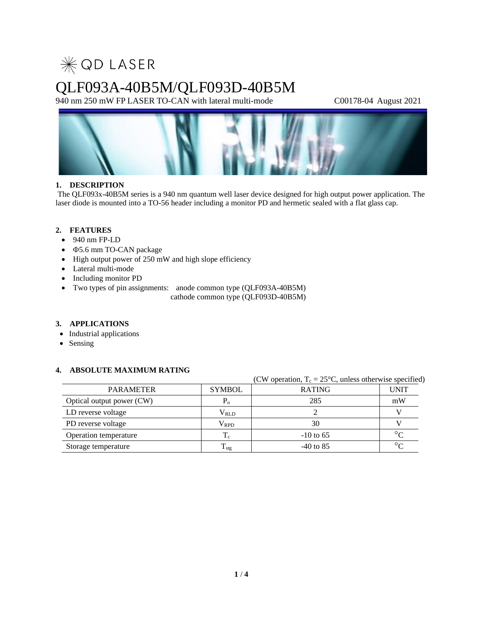

# QLF093A-40B5M/QLF093D-40B5M

940 nm 250 mW FP LASER TO-CAN with lateral multi-mode C00178-04 August 2021



# **1. DESCRIPTION**

The QLF093x-40B5M series is a 940 nm quantum well laser device designed for high output power application. The laser diode is mounted into a TO-56 header including a monitor PD and hermetic sealed with a flat glass cap.

# **2. FEATURES**

- 940 nm FP-LD
- $\Phi$ 5.6 mm TO-CAN package
- High output power of 250 mW and high slope efficiency
- Lateral multi-mode
- Including monitor PD
- Two types of pin assignments: anode common type (QLF093A-40B5M)

### cathode common type (QLF093D-40B5M)

## **3. APPLICATIONS**

- Industrial applications
- Sensing

# **4. ABSOLUTE MAXIMUM RATING**

|                           |               | $\mathcal{C}$ of operation, $\mathbf{r}_0 = 2J$ $\mathcal{C}$ , anness other was specified |         |  |  |
|---------------------------|---------------|--------------------------------------------------------------------------------------------|---------|--|--|
| <b>PARAMETER</b>          | <b>SYMBOL</b> | <b>RATING</b>                                                                              | UNIT    |  |  |
| Optical output power (CW) | $P_{o}$       | 285                                                                                        | mW      |  |  |
| LD reverse voltage        | $\rm V_{RLD}$ |                                                                                            |         |  |  |
| PD reverse voltage        | $\rm V_{RPD}$ | 30                                                                                         |         |  |  |
| Operation temperature     | $T_c$         | $-10$ to 65                                                                                | $\circ$ |  |  |
| Storage temperature       | $T_{\rm stg}$ | $-40$ to 85                                                                                | $\circ$ |  |  |

(CW operation,  $T_c = 25$ °C, unless otherwise specified)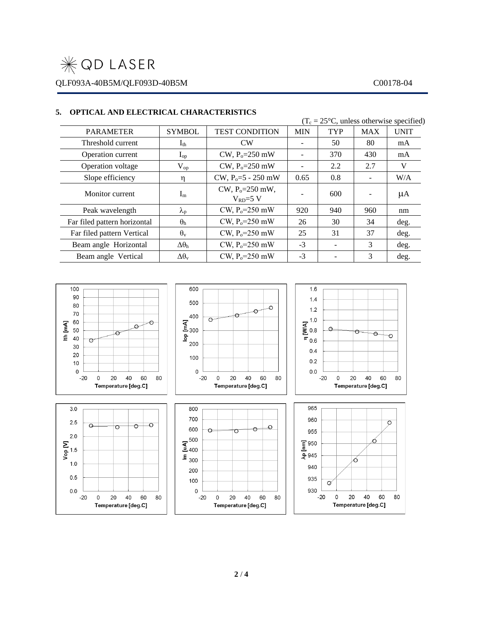**WOD LASER** QLF093A-40B5M/QLF093D-40B5M C00178-04

|                              |                        |                                       | $(T_c = 25^{\circ}C$ , unless otherwise specified) |            |            |             |  |
|------------------------------|------------------------|---------------------------------------|----------------------------------------------------|------------|------------|-------------|--|
| <b>PARAMETER</b>             | <b>SYMBOL</b>          | <b>TEST CONDITION</b>                 | <b>MIN</b>                                         | <b>TYP</b> | <b>MAX</b> | <b>UNIT</b> |  |
| Threshold current            | $I_{th}$               | CW                                    |                                                    | 50         | 80         | mA          |  |
| Operation current            | $I_{op}$               | $CW, P_0 = 250$ mW                    |                                                    | 370        | 430        | mA          |  |
| Operation voltage            | $V_{op}$               | $CW, P_0 = 250$ mW                    |                                                    | 2.2        | 2.7        | V           |  |
| Slope efficiency             | η                      | $CW, P_0 = 5 - 250$ mW                | 0.65                                               | 0.8        |            | W/A         |  |
| Monitor current              | $I_m$                  | $CW, P_0 = 250$ mW,<br>$V_{RD} = 5 V$ |                                                    | 600        |            | μA          |  |
| Peak wavelength              | $\lambda_{\rm p}$      | CW, $P_0 = 250$ mW                    | 920                                                | 940        | 960        | nm          |  |
| Far filed pattern horizontal | $\theta_h$             | CW, $P_0 = 250$ mW                    | 26                                                 | 30         | 34         | deg.        |  |
| Far filed pattern Vertical   | $\theta_{\rm v}$       | CW, $P_0 = 250$ mW                    | 25                                                 | 31         | 37         | deg.        |  |
| Beam angle Horizontal        | $\Delta\theta_{\rm h}$ | CW, $P_0 = 250$ mW                    | $-3$                                               |            | 3          | deg.        |  |
| Beam angle Vertical          | $\Delta\theta_{\rm v}$ | CW, $P_0 = 250$ mW                    | $-3$                                               |            | 3          | deg.        |  |

### **5. OPTICAL AND ELECTRICAL CHARACTERISTICS**

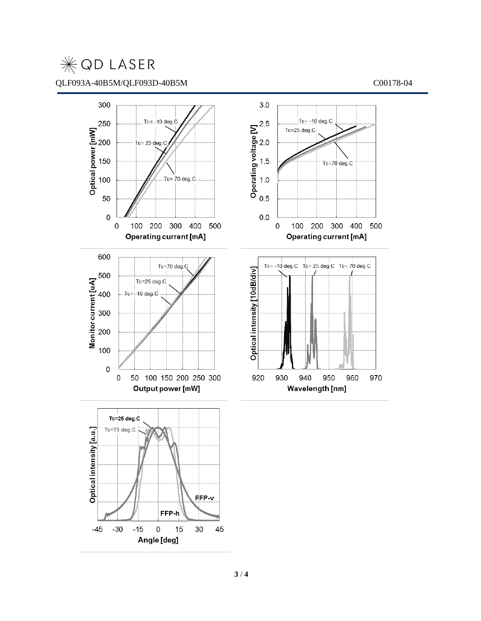**WOD LASER** 

# QLF093A-40B5M/QLF093D-40B5M C00178-04